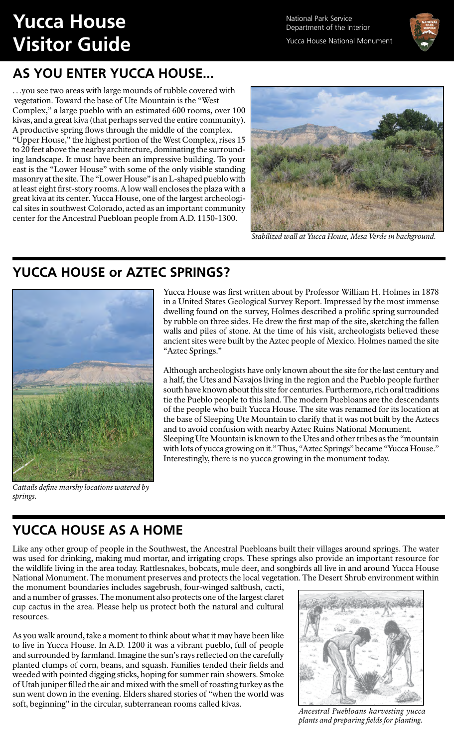# **Yucca House Visitor Guide**

National Park Service Department of the Interior Yucca House National Monument



## **AS YOU ENTER YUCCA HOUSE...**

…you see two areas with large mounds of rubble covered with vegetation. Toward the base of Ute Mountain is the "West Complex," a large pueblo with an estimated 600 rooms, over 100 kivas, and a great kiva (that perhaps served the entire community). A productive spring flows through the middle of the complex. "Upper House," the highest portion of the West Complex, rises 15 to 20 feet above the nearby architecture, dominating the surrounding landscape. It must have been an impressive building. To your east is the "Lower House" with some of the only visible standing masonry at the site. The "Lower House" is an L-shaped pueblo with at least eight first-story rooms. A low wall encloses the plaza with a great kiva at its center. Yucca House, one of the largest archeological sites in southwest Colorado, acted as an important community center for the Ancestral Puebloan people from A.D. 1150-1300.



*Stabilized wall at Yucca House, Mesa Verde in background.*

#### **YUCCA HOUSE or AZTEC SPRINGS?**



*Cattails define marshy locations watered by springs.*

Yucca House was first written about by Professor William H. Holmes in 1878 in a United States Geological Survey Report. Impressed by the most immense dwelling found on the survey, Holmes described a prolific spring surrounded by rubble on three sides. He drew the first map of the site, sketching the fallen walls and piles of stone. At the time of his visit, archeologists believed these ancient sites were built by the Aztec people of Mexico. Holmes named the site "Aztec Springs."

Although archeologists have only known about the site for the last century and a half, the Utes and Navajos living in the region and the Pueblo people further south have known about this site for centuries. Furthermore, rich oral traditions tie the Pueblo people to this land. The modern Puebloans are the descendants of the people who built Yucca House. The site was renamed for its location at the base of Sleeping Ute Mountain to clarify that it was not built by the Aztecs and to avoid confusion with nearby Aztec Ruins National Monument. Sleeping Ute Mountain is known to the Utes and other tribes as the "mountain with lots of yucca growing on it." Thus, "Aztec Springs" became "Yucca House." Interestingly, there is no yucca growing in the monument today.

## **YUCCA HOUSE AS A HOME**

Like any other group of people in the Southwest, the Ancestral Puebloans built their villages around springs. The water was used for drinking, making mud mortar, and irrigating crops. These springs also provide an important resource for the wildlife living in the area today. Rattlesnakes, bobcats, mule deer, and songbirds all live in and around Yucca House National Monument. The monument preserves and protects the local vegetation. The Desert Shrub environment within

the monument boundaries includes sagebrush, four-winged saltbush, cacti, and a number of grasses. The monument also protects one of the largest claret cup cactus in the area. Please help us protect both the natural and cultural resources.

As you walk around, take a moment to think about what it may have been like to live in Yucca House. In A.D. 1200 it was a vibrant pueblo, full of people and surrounded by farmland. Imagine the sun's rays reflected on the carefully planted clumps of corn, beans, and squash. Families tended their fields and weeded with pointed digging sticks, hoping for summer rain showers. Smoke of Utah juniper filled the air and mixed with the smell of roasting turkey as the sun went down in the evening. Elders shared stories of "when the world was soft, beginning" in the circular, subterranean rooms called kivas. *Ancestral Puebloans harvesting yucca* 



*plants and preparing fields for planting.*